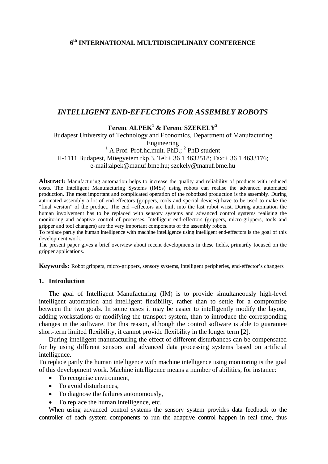# **6th INTERNATIONAL MULTIDISCIPLINARY CONFERENCE**

# *INTELLIGENT END-EFFECTORS FOR ASSEMBLY ROBOTS*

# **Ferenc ALPEK1 & Ferenc SZEKELY2**

Budapest University of Technology and Economics, Department of Manufacturing Engineering

<sup>1</sup> A.Prof. Prof.hc.mult. PhD.;<sup>2</sup> PhD student

H-1111 Budapest, Müegyetem rkp.3. Tel:+ 36 1 4632518; Fax:+ 36 1 4633176; e-mail:alpek@manuf.bme.hu; szekely@manuf.bme.hu

**Abstract:** Manufacturing automation helps to increase the quality and reliability of products with reduced costs. The Intelligent Manufacturing Systems (IMSs) using robots can realise the advanced automated production. The most important and complicated operation of the robotized production is the assembly. During automated assembly a lot of end-effectors (grippers, tools and special devices) have to be used to make the "final version" of the product. The end –effectors are built into the last robot wrist. During automation the human involvement has to be replaced with sensory systems and advanced control systems realising the monitoring and adaptive control of processes. Intelligent end-effectors (grippers, micro-grippers, tools and gripper and tool changers) are the very important components of the assembly robots.

To replace partly the human intelligence with machine intelligence using intelligent end-effectors is the goal of this development work.

The present paper gives a brief overview about recent developments in these fields, primarily focused on the gripper applications.

**Keywords:** Robot grippers, micro-grippers, sensory systems, intelligent peripheries, end-effector's changers

#### **1. Introduction**

The goal of Intelligent Manufacturing (IM) is to provide simultaneously high-level intelligent automation and intelligent flexibility, rather than to settle for a compromise between the two goals. In some cases it may be easier to intelligently modify the layout, adding workstations or modifying the transport system, than to introduce the corresponding changes in the software. For this reason, although the control software is able to guarantee short-term limited flexibility, it cannot provide flexibility in the longer term [2].

During intelligent manufacturing the effect of different disturbances can be compensated for by using different sensors and advanced data processing systems based on artificial intelligence.

To replace partly the human intelligence with machine intelligence using monitoring is the goal of this development work. Machine intelligence means a number of abilities, for instance:

- To recognise environment,
- To avoid disturbances.
- To diagnose the failures autonomously,
- To replace the human intelligence, etc*.*

When using advanced control systems the sensory system provides data feedback to the controller of each system components to run the adaptive control happen in real time, thus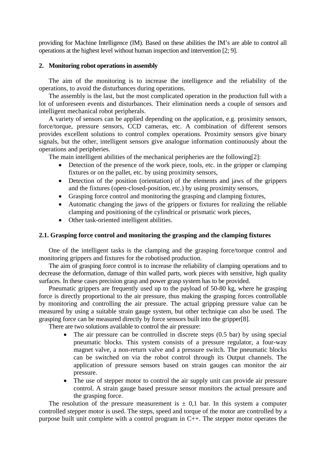providing for Machine Intelligence (IM). Based on these abilities the IM's are able to control all operations at the highest level without human inspection and intervention [2; 9].

### **2. Monitoring robot operations in assembly**

The aim of the monitoring is to increase the intelligence and the reliability of the operations, to avoid the disturbances during operations.

The assembly is the last, but the most complicated operation in the production full with a lot of unforeseen events and disturbances. Their elimination needs a couple of sensors and intelligent mechanical robot peripherals.

A variety of sensors can be applied depending on the application, e.g. proximity sensors, force/torque, pressure sensors, CCD cameras, etc. A combination of different sensors provides excellent solutions to control complex operations. Proximity sensors give binary signals, but the other, intelligent sensors give analogue information continuously about the operations and peripheries.

The main intelligent abilities of the mechanical peripheries are the following[2]:

- Detection of the presence of the work piece, tools, etc. in the gripper or clamping fixtures or on the pallet, etc. by using proximity sensors,
- Detection of the position (orientation) of the elements and jaws of the grippers and the fixtures (open-closed-position, etc.) by using proximity sensors,
- Grasping force control and monitoring the grasping and clamping fixtures,
- Automatic changing the jaws of the grippers or fixtures for realizing the reliable clamping and positioning of the cylindrical or prismatic work pieces,
- Other task-oriented intelligent abilities.

#### **2.1. Grasping force control and monitoring the grasping and the clamping fixtures**

One of the intelligent tasks is the clamping and the grasping force/torque control and monitoring grippers and fixtures for the robotised production.

The aim of grasping force control is to increase the reliability of clamping operations and to decrease the deformation, damage of thin walled parts, work pieces with sensitive, high quality surfaces. In these cases precision grasp and power grasp system has to be provided.

Pneumatic grippers are frequently used up to the payload of 50-80 kg, where he grasping force is directly proportional to the air pressure, thus making the grasping forces controllable by monitoring and controlling the air pressure. The actual gripping pressure value can be measured by using a suitable strain gauge system, but other technique can also be used. The grasping force can be measured directly by force sensors built into the gripper[8].

There are two solutions available to control the air pressure:

- The air pressure can be controlled in discrete steps  $(0.5 \text{ bar})$  by using special pneumatic blocks. This system consists of a pressure regulator, a four-way magnet valve, a non-return valve and a pressure switch. The pneumatic blocks can be switched on via the robot control through its Output channels. The application of pressure sensors based on strain gauges can monitor the air pressure.
- The use of stepper motor to control the air supply unit can provide air pressure control. A strain gauge based pressure sensor monitors the actual pressure and the grasping force.

The resolution of the pressure measurement is  $\pm$  0,1 bar. In this system a computer controlled stepper motor is used. The steps, speed and torque of the motor are controlled by a purpose built unit complete with a control program in C++. The stepper motor operates the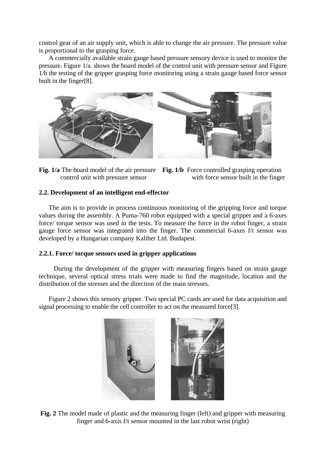control gear of an air supply unit, which is able to change the air pressure. The pressure value is proportional to the grasping force.

A commercially available strain gauge based pressure sensory device is used to monitor the pressure. Figure 1/a. shows the board model of the control unit with pressure sensor and Figure 1/b the testing of the gripper grasping force monitoring using a strain gauge based force sensor built in the finger[8].



**Fig. 1/a** The board model of the air pressure **Fig. 1/b** Force controlled grasping operation control unit with pressure sensor with force sensor built in the finger

### **2.2. Development of an intelligent end-effector**

The aim is to provide in process continuous monitoring of the gripping force and torque values during the assembly. A Puma-760 robot equipped with a special gripper and a 6-axes force/ torque sensor was used in the tests. To measure the force in the robot finger, a strain gauge force sensor was integrated into the finger. The commercial 6-axes f/t sensor was developed by a Hungarian company Kaliber Ltd. Budapest.

### **2.2.1. Force/ torque sensors used in gripper applications**

During the development of the gripper with measuring fingers based on strain gauge technique, several optical stress trials were made to find the magnitude, location and the distribution of the stresses and the direction of the main stresses.

Figure 2 shows this sensory gripper. Two special PC cards are used for data acquisition and signal processing to enable the cell controller to act on the measured force[3].



**Fig. 2** The model made of plastic and the measuring finger (left) and gripper with measuring finger and 6-axis f/t sensor mounted in the last robot wrist (right)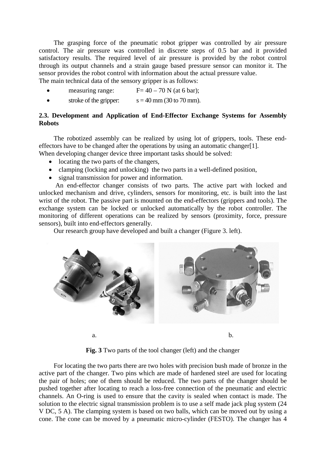The grasping force of the pneumatic robot gripper was controlled by air pressure control. The air pressure was controlled in discrete steps of 0.5 bar and it provided satisfactory results. The required level of air pressure is provided by the robot control through its output channels and a strain gauge based pressure sensor can monitor it. The sensor provides the robot control with information about the actual pressure value. The main technical data of the sensory gripper is as follows:

measuring range:  $F= 40 - 70$  N (at 6 bar);

- 
- stroke of the gripper:  $s = 40$  mm (30 to 70 mm).

## **2.3. Development and Application of End-Effector Exchange Systems for Assembly Robots**

The robotized assembly can be realized by using lot of grippers, tools. These endeffectors have to be changed after the operations by using an automatic changer[1].

When developing changer device three important tasks should be solved:

- locating the two parts of the changers.
- clamping (locking and unlocking) the two parts in a well-defined position,
- signal transmission for power and information.

 An end-effector changer consists of two parts. The active part with locked and unlocked mechanism and drive, cylinders, sensors for monitoring, etc. is built into the last wrist of the robot. The passive part is mounted on the end-effectors (grippers and tools). The exchange system can be locked or unlocked automatically by the robot controller. The monitoring of different operations can be realized by sensors (proximity, force, pressure sensors), built into end-effectors generally.

Our research group have developed and built a changer (Figure 3. left).



**Fig. 3** Two parts of the tool changer (left) and the changer

For locating the two parts there are two holes with precision bush made of bronze in the active part of the changer. Two pins which are made of hardened steel are used for locating the pair of holes; one of them should be reduced. The two parts of the changer should be pushed together after locating to reach a loss-free connection of the pneumatic and electric channels. An O-ring is used to ensure that the cavity is sealed when contact is made. The solution to the electric signal transmission problem is to use a self made jack plug system (24 V DC, 5 A). The clamping system is based on two balls, which can be moved out by using a cone. The cone can be moved by a pneumatic micro-cylinder (FESTO). The changer has 4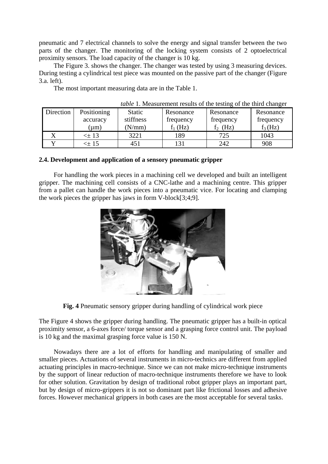pneumatic and 7 electrical channels to solve the energy and signal transfer between the two parts of the changer. The monitoring of the locking system consists of 2 optoelectrical proximity sensors. The load capacity of the changer is 10 kg.

The Figure 3. shows the changer. The changer was tested by using 3 measuring devices. During testing a cylindrical test piece was mounted on the passive part of the changer (Figure 3.a. left).

The most important measuring data are in the Table 1.

| Direction | Positioning     | <b>Static</b> | Resonance | Resonance  | Resonance |
|-----------|-----------------|---------------|-----------|------------|-----------|
|           | accuracy        | stiffness     | frequency | frequency  | frequency |
|           | um)             | (N/mm)        | (Hz)      | (Hz)<br>Iэ | $f_3(Hz)$ |
|           | <± 13           | 3221          | 189       | 725        | 1043      |
|           | $\Leftarrow 15$ | 451           | 131       | 242        | 908       |

*table* 1. Measurement results of the testing of the third changer

## **2.4. Development and application of a sensory pneumatic gripper**

For handling the work pieces in a machining cell we developed and built an intelligent gripper. The machining cell consists of a CNC-lathe and a machining centre. This gripper from a pallet can handle the work pieces into a pneumatic vice. For locating and clamping the work pieces the gripper has jaws in form V-block[3;4;9].



**Fig. 4** Pneumatic sensory gripper during handling of cylindrical work piece

The Figure 4 shows the gripper during handling. The pneumatic gripper has a built-in optical proximity sensor, a 6-axes force/ torque sensor and a grasping force control unit. The payload is 10 kg and the maximal grasping force value is 150 N.

Nowadays there are a lot of efforts for handling and manipulating of smaller and smaller pieces. Actuations of several instruments in micro-technics are different from applied actuating principles in macro-technique. Since we can not make micro-technique instruments by the support of linear reduction of macro-technique instruments therefore we have to look for other solution. Gravitation by design of traditional robot gripper plays an important part, but by design of micro-grippers it is not so dominant part like frictional losses and adhesive forces. However mechanical grippers in both cases are the most acceptable for several tasks.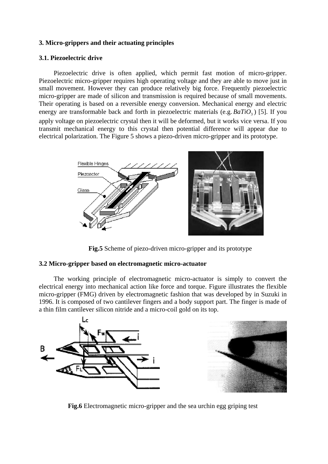# **3. Micro-grippers and their actuating principles**

### **3.1. Piezoelectric drive**

Piezoelectric drive is often applied, which permit fast motion of micro-gripper. Piezoelectric micro-gripper requires high operating voltage and they are able to move just in small movement. However they can produce relatively big force. Frequently piezoelectric micro-gripper are made of silicon and transmission is required because of small movements. Their operating is based on a reversible energy conversion. Mechanical energy and electric energy are transformable back and forth in piezoelectric materials (e.g.  $BaTiO<sub>3</sub>$ ) [5]. If you apply voltage on piezoelectric crystal then it will be deformed, but it works vice versa. If you transmit mechanical energy to this crystal then potential difference will appear due to electrical polarization. The Figure 5 shows a piezo-driven micro-gripper and its prototype.



**Fig.5** Scheme of piezo-driven micro-gripper and its prototype

### **3.2 Micro-gripper based on electromagnetic micro-actuator**

The working principle of electromagnetic micro-actuator is simply to convert the electrical energy into mechanical action like force and torque. Figure illustrates the flexible micro-gripper (FMG) driven by electromagnetic fashion that was developed by in Suzuki in 1996. It is composed of two cantilever fingers and a body support part. The finger is made of a thin film cantilever silicon nitride and a micro-coil gold on its top.



**Fig.6** Electromagnetic micro-gripper and the sea urchin egg griping test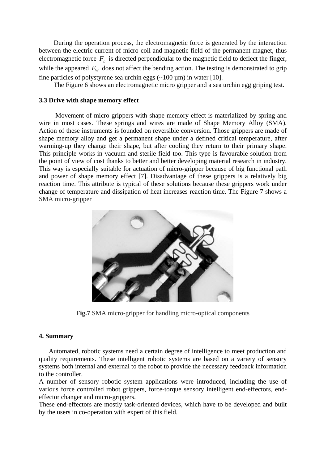During the operation process, the electromagnetic force is generated by the interaction between the electric current of micro-coil and magnetic field of the permanent magnet, thus electromagnetic force  $F<sub>L</sub>$  is directed perpendicular to the magnetic field to deflect the finger, while the appeared  $F_w$  does not affect the bending action. The testing is demonstrated to grip fine particles of polystyrene sea urchin eggs  $(\sim 100 \,\mu m)$  in water [10].

The Figure 6 shows an electromagnetic micro gripper and a sea urchin egg griping test.

### **3.3 Drive with shape memory effect**

 Movement of micro-grippers with shape memory effect is materialized by spring and wire in most cases. These springs and wires are made of Shape Memory Alloy (SMA). Action of these instruments is founded on reversible conversion. Those grippers are made of shape memory alloy and get a permanent shape under a defined critical temperature, after warming-up they change their shape, but after cooling they return to their primary shape. This principle works in vacuum and sterile field too. This type is favourable solution from the point of view of cost thanks to better and better developing material research in industry. This way is especially suitable for actuation of micro-gripper because of big functional path and power of shape memory effect [7]. Disadvantage of these grippers is a relatively big reaction time. This attribute is typical of these solutions because these grippers work under change of temperature and dissipation of heat increases reaction time. The Figure 7 shows a SMA micro-gripper



**Fig.7** SMA micro-gripper for handling micro-optical components

## **4. Summary**

 Automated, robotic systems need a certain degree of intelligence to meet production and quality requirements. These intelligent robotic systems are based on a variety of sensory systems both internal and external to the robot to provide the necessary feedback information to the controller.

A number of sensory robotic system applications were introduced, including the use of various force controlled robot grippers, force-torque sensory intelligent end-effectors, endeffector changer and micro-grippers.

These end-effectors are mostly task-oriented devices, which have to be developed and built by the users in co-operation with expert of this field.